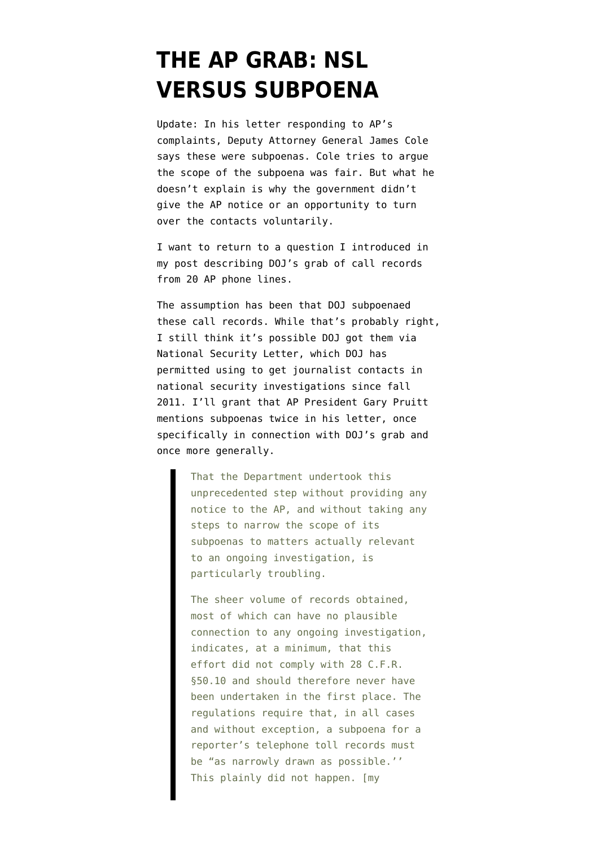## **[THE AP GRAB: NSL](https://www.emptywheel.net/2013/05/14/the-ap-grab-nsl-versus-subpoena/) [VERSUS SUBPOENA](https://www.emptywheel.net/2013/05/14/the-ap-grab-nsl-versus-subpoena/)**

Update: In his [letter](http://www.documentcloud.org/documents/700577-051413-letter-to-g-pruitt.html) responding to AP's complaints, Deputy Attorney General James Cole says these were subpoenas. Cole tries to argue the scope of the subpoena was fair. But what he doesn't explain is why the government didn't give the AP notice or an opportunity to turn over the contacts voluntarily.

I want to return to a question I introduced [in](http://www.emptywheel.net/2013/05/13/doj-goes-nuclear-on-goldman-and-apuzzo/) [my post](http://www.emptywheel.net/2013/05/13/doj-goes-nuclear-on-goldman-and-apuzzo/) describing DOJ's grab of call records from 20 AP phone lines.

The assumption has been that DOJ subpoenaed these call records. While that's probably right, I still think it's possible DOJ got them via National Security Letter, which DOJ [has](http://www.emptywheel.net/2013/01/26/the-2011-diog-permits-using-nsls-to-get-journalist-contacts/) [permitted](http://www.emptywheel.net/2013/01/26/the-2011-diog-permits-using-nsls-to-get-journalist-contacts/) using to get journalist contacts in national security investigations since fall 2011. I'll grant that AP President Gary Pruitt mentions subpoenas twice [in his letter,](http://www.ap.org/Images/Letter-to-Eric-Holder_tcm28-12896.pdf) once specifically in connection with DOJ's grab and once more generally.

> That the Department undertook this unprecedented step without providing any notice to the AP, and without taking any steps to narrow the scope of its subpoenas to matters actually relevant to an ongoing investigation, is particularly troubling.

> The sheer volume of records obtained, most of which can have no plausible connection to any ongoing investigation, indicates, at a minimum, that this effort did not comply with 28 C.F.R. §50.10 and should therefore never have been undertaken in the first place. The regulations require that, in all cases and without exception, a subpoena for a reporter's telephone toll records must be "as narrowly drawn as possible.'' This plainly did not happen. [my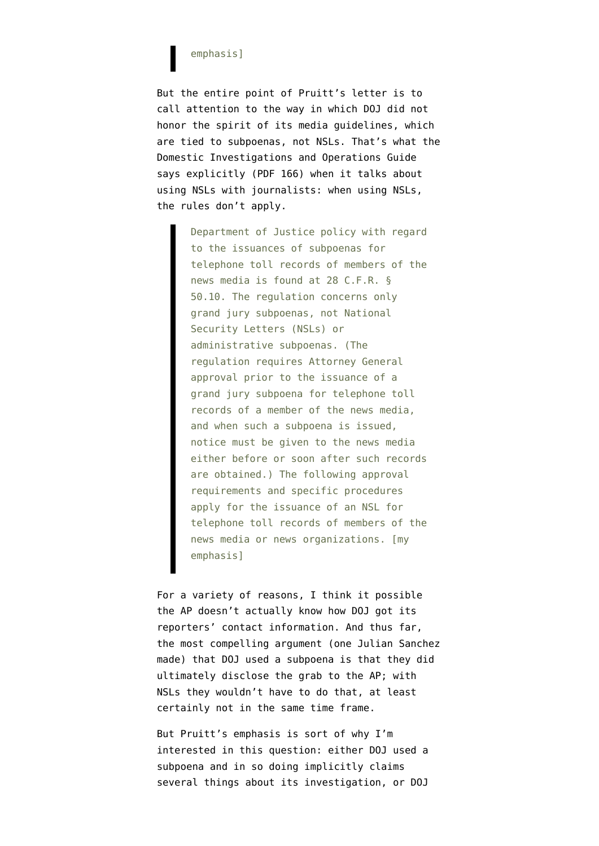## emphasis]

But the entire point of Pruitt's letter is to call attention to the way in which DOJ did not honor the spirit of its media guidelines, which are tied to subpoenas, not NSLs. That's what the Domestic Investigations and Operations Guide says explicitly ([PDF 166\)](http://www.emptywheel.net/wp-content/uploads/2011/12/111015-DIOG-03-of-03.pdf) when it talks about using NSLs with journalists: when using NSLs, the rules don't apply.

> Department of Justice policy with regard to the issuances of subpoenas for telephone toll records of members of the news media is found at 28 C.F.R. § 50.10. The regulation concerns only grand jury subpoenas, not National Security Letters (NSLs) or administrative subpoenas. (The regulation requires Attorney General approval prior to the issuance of a grand jury subpoena for telephone toll records of a member of the news media, and when such a subpoena is issued, notice must be given to the news media either before or soon after such records are obtained.) The following approval requirements and specific procedures apply for the issuance of an NSL for telephone toll records of members of the news media or news organizations. [my emphasis]

For a variety of reasons, I think it possible the AP doesn't actually know how DOJ got its reporters' contact information. And thus far, the most compelling argument ([one Julian Sanchez](https://twitter.com/normative/status/334096202276671489) [made](https://twitter.com/normative/status/334096202276671489)) that DOJ used a subpoena is that they did ultimately disclose the grab to the AP; with NSLs they wouldn't have to do that, at least certainly not in the same time frame.

But Pruitt's emphasis is sort of why I'm interested in this question: either DOJ used a subpoena and in so doing implicitly claims several things about its investigation, or DOJ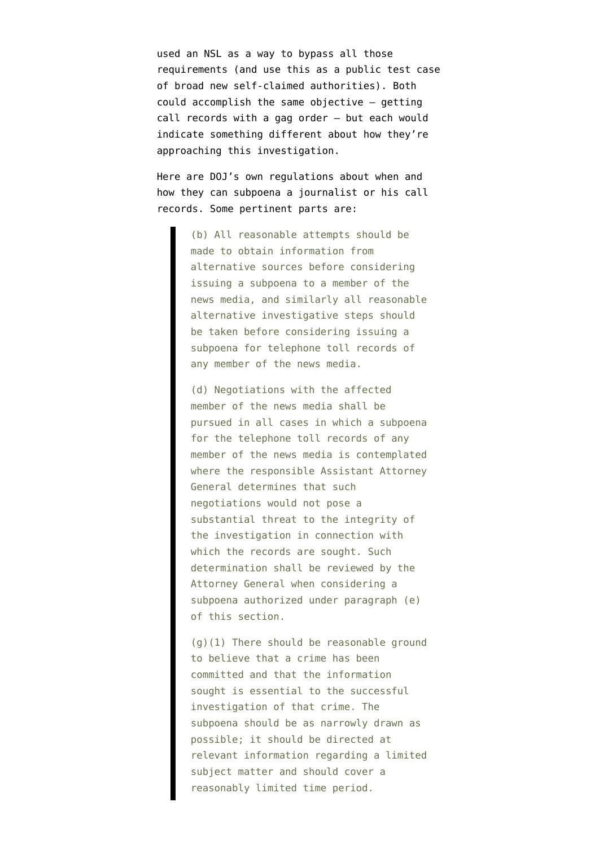used an NSL as a way to bypass all those requirements (and use this as a public test case of broad new self-claimed authorities). Both could accomplish the same objective — getting call records with a gag order — but each would indicate something different about how they're approaching this investigation.

Here are DOJ's [own regulations](http://www.law.cornell.edu/cfr/text/28/50.10) about when and how they can subpoena a journalist or his call records. Some pertinent parts are:

> (b) All reasonable attempts should be made to obtain information from alternative sources before considering issuing a subpoena to a member of the news media, and similarly all reasonable alternative investigative steps should be taken before considering issuing a subpoena for telephone toll records of any member of the news media.

> (d) Negotiations with the affected member of the news media shall be pursued in all cases in which a subpoena for the telephone toll records of any member of the news media is contemplated where the responsible Assistant Attorney General determines that such negotiations would not pose a substantial threat to the integrity of the investigation in connection with which the records are sought. Such determination shall be reviewed by the Attorney General when considering a subpoena authorized under paragraph (e) of this section.

> (g)(1) There should be reasonable ground to believe that a crime has been committed and that the information sought is essential to the successful investigation of that crime. The subpoena should be as narrowly drawn as possible; it should be directed at relevant information regarding a limited subject matter and should cover a reasonably limited time period.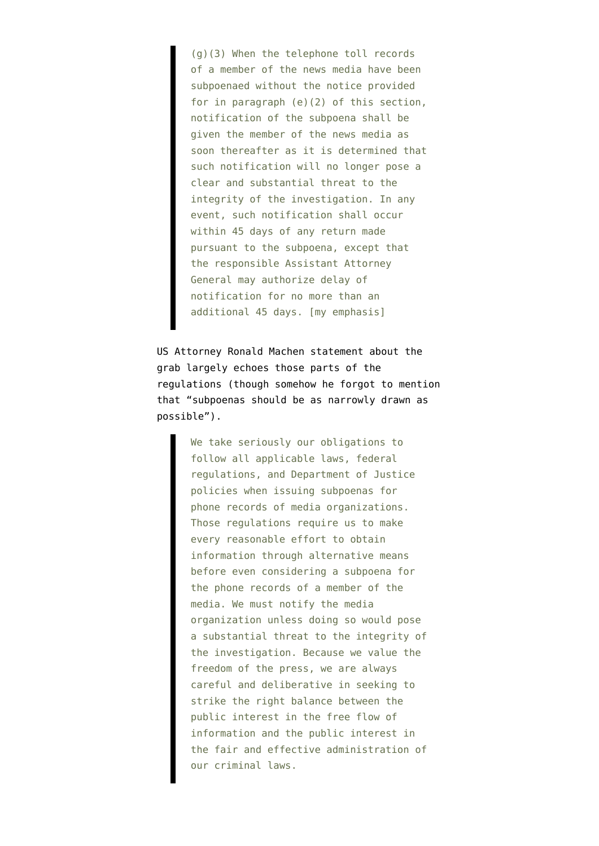(g)(3) When the telephone toll records of a member of the news media have been subpoenaed without the notice provided for in paragraph (e)(2) of this section, notification of the subpoena shall be given the member of the news media as soon thereafter as it is determined that such notification will no longer pose a clear and substantial threat to the integrity of the investigation. In any event, such notification shall occur within 45 days of any return made pursuant to the subpoena, except that the responsible Assistant Attorney General may authorize delay of notification for no more than an additional 45 days. [my emphasis]

US Attorney Ronald Machen [statement](https://twitter.com/ryanjreilly/status/334051939597811712/photo/1) about the grab largely echoes those parts of the regulations (though somehow he forgot to mention that "subpoenas should be as narrowly drawn as possible").

> We take seriously our obligations to follow all applicable laws, federal regulations, and Department of Justice policies when issuing subpoenas for phone records of media organizations. Those regulations require us to make every reasonable effort to obtain information through alternative means before even considering a subpoena for the phone records of a member of the media. We must notify the media organization unless doing so would pose a substantial threat to the integrity of the investigation. Because we value the freedom of the press, we are always careful and deliberative in seeking to strike the right balance between the public interest in the free flow of information and the public interest in the fair and effective administration of our criminal laws.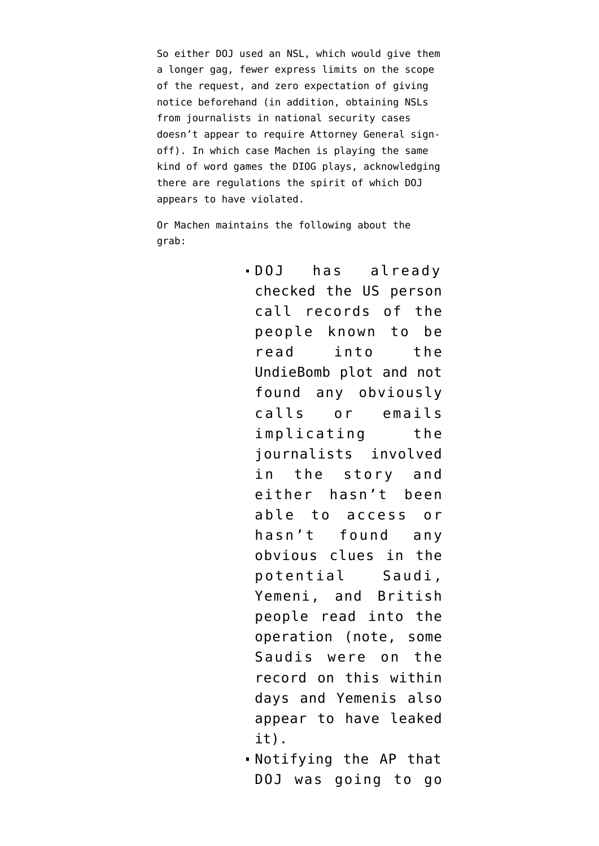So either DOJ used an NSL, which would give them a longer gag, fewer express limits on the scope of the request, and zero expectation of giving notice beforehand (in addition, obtaining NSLs from journalists in national security cases doesn't appear to require Attorney General signoff). In which case Machen is playing the same kind of word games the DIOG plays, acknowledging there are regulations the spirit of which DOJ appears to have violated.

Or Machen maintains the following about the grab:

- DOJ has already checked the US person call records of the people known to be read into the UndieBomb plot and not found any obviously calls or emails implicating the journalists involved in the story and either hasn't been able to access or hasn't found any obvious clues in the potential Saudi, Yemeni, and British people read into the operation (note, some Saudis were on the record on this within days and Yemenis also appear to have leaked it).
- Notifying the AP that DOJ was going to go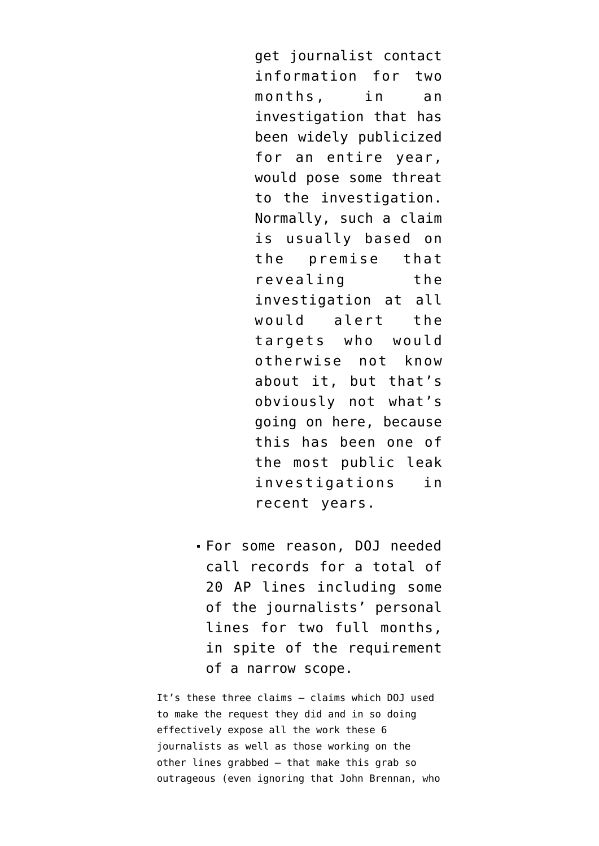get journalist contact information for two months, in an investigation that has been widely publicized for an entire year, would pose some threat to the investigation. Normally, such a claim is usually based on the premise that revealing the investigation at all would alert the targets who would otherwise not know about it, but that's obviously not what's going on here, because this has been one of the most public leak investigations in recent years.

For some reason, DOJ needed call records for a total of 20 AP lines including some of the journalists' personal lines for two full months, in spite of the requirement of a narrow scope.

It's these three claims — claims which DOJ used to make the request they did and in so doing effectively expose all the work these 6 journalists as well as those working on the other lines grabbed — that make this grab so outrageous (even ignoring that John Brennan, who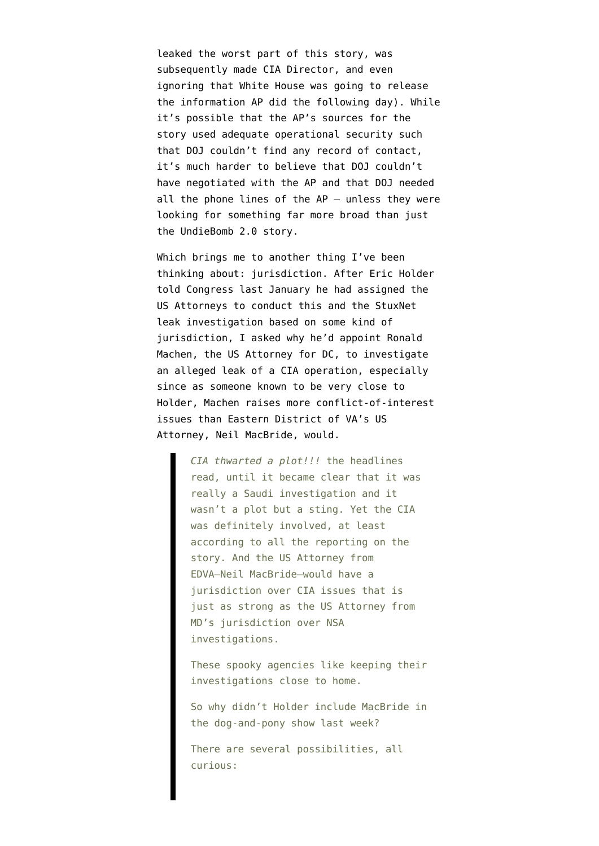leaked the worst part of this story, was subsequently made CIA Director, and even ignoring that White House was going to release the information AP did the following day). While it's possible that the AP's sources for the story used adequate operational security such that DOJ couldn't find any record of contact, it's much harder to believe that DOJ couldn't have negotiated with the AP and that DOJ needed all the phone lines of the AP — unless they were looking for something far more broad than just the UndieBomb 2.0 story.

Which brings me to another thing I've been thinking about: jurisdiction. After Eric Holder told Congress last January he had assigned the US Attorneys to conduct this and the StuxNet leak investigation based on some kind of jurisdiction, I [asked](http://www.emptywheel.net/2012/06/12/why-isnt-neil-macbride-investigating-the-alleged-undiebomb-2-0-leak/) why he'd appoint Ronald Machen, the US Attorney for DC, to investigate an alleged leak of a CIA operation, especially since as someone known to be very close to Holder, Machen raises more conflict-of-interest issues than Eastern District of VA's US Attorney, Neil MacBride, would.

> *CIA thwarted a plot!!!* the headlines read, until it became clear that it was really a Saudi investigation and it wasn't a plot but a sting. Yet the CIA was definitely involved, at least according to all the reporting on the story. And the US Attorney from EDVA–Neil MacBride–would have a jurisdiction over CIA issues that is just as strong as the US Attorney from MD's jurisdiction over NSA investigations.

These spooky agencies like keeping their investigations close to home.

So why didn't Holder include MacBride in the dog-and-pony show last week?

There are several possibilities, all curious: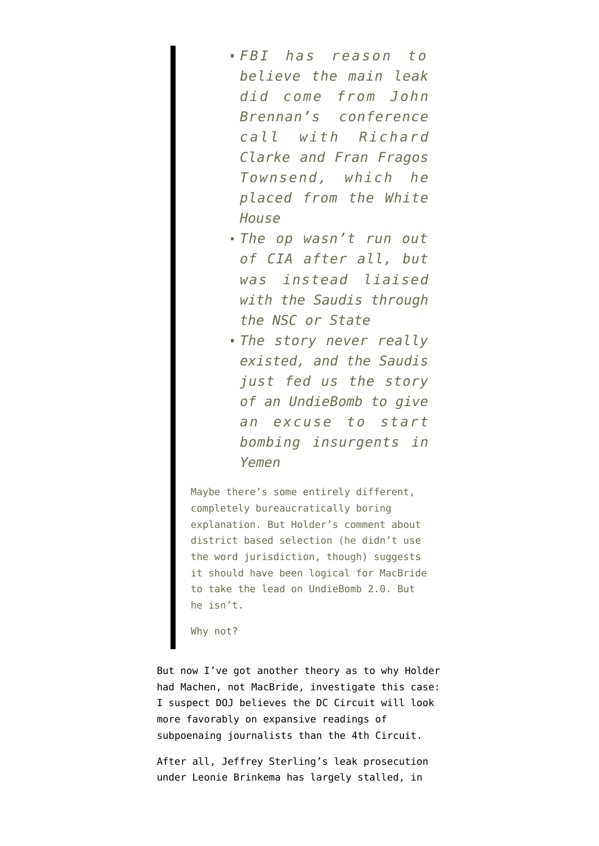- *FBI has reason to believe the main leak did come from John Brennan's conference call with Richard Clarke and Fran Fragos Townsend, which he placed from the White House*
- *The op wasn't run out of CIA after all, but was instead liaised with the Saudis through the NSC or State*
- *The story never really existed, and the Saudis just fed us the story of an UndieBomb to give an excuse to start bombing insurgents in Yemen*

Maybe there's some entirely different, completely bureaucratically boring explanation. But Holder's comment about district based selection (he didn't use the word jurisdiction, though) suggests it should have been logical for MacBride to take the lead on UndieBomb 2.0. But he isn't.

Why not?

But now I've got another theory as to why Holder had Machen, not MacBride, investigate this case: I suspect DOJ believes the DC Circuit will look more favorably on expansive readings of subpoenaing journalists than the 4th Circuit.

After all, Jeffrey Sterling's leak prosecution under Leonie Brinkema has largely stalled, in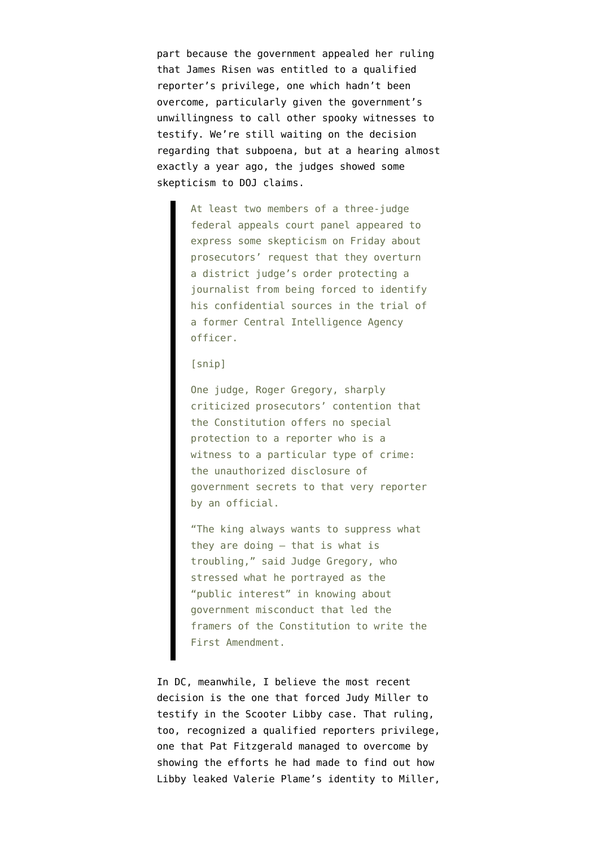part because the government appealed her ruling that James Risen was entitled to a qualified reporter's privilege, one which hadn't been overcome, particularly given the government's unwillingness to call other spooky witnesses to testify. We're still waiting on the decision regarding that subpoena, but [at a hearing almost](http://www.nytimes.com/2012/05/19/us/politics/appeals-panel-weighs-press-rights-in-case-involving-reporter-james-risen.html) [exactly a year ago,](http://www.nytimes.com/2012/05/19/us/politics/appeals-panel-weighs-press-rights-in-case-involving-reporter-james-risen.html) the judges showed some skepticism to DOJ claims.

> At least two members of a three-judge federal appeals court panel appeared to express some skepticism on Friday about prosecutors' request that they overturn a district judge's order protecting a journalist from being forced to identify his confidential sources in the trial of a former Central Intelligence Agency officer.

## [snip]

One judge, Roger Gregory, sharply criticized prosecutors' contention that the Constitution offers no special protection to a reporter who is a witness to a particular type of crime: the unauthorized disclosure of government secrets to that very reporter by an official.

"The king always wants to suppress what they are doing — that is what is troubling," said Judge Gregory, who stressed what he portrayed as the "public interest" in knowing about government misconduct that led the framers of the Constitution to write the First Amendment.

In DC, meanwhile, I believe the most recent decision is the one that forced Judy Miller to testify in the Scooter Libby case. That ruling, too, recognized a qualified reporters privilege, one that Pat Fitzgerald managed to overcome by showing the efforts he had made to find out how Libby leaked Valerie Plame's identity to Miller,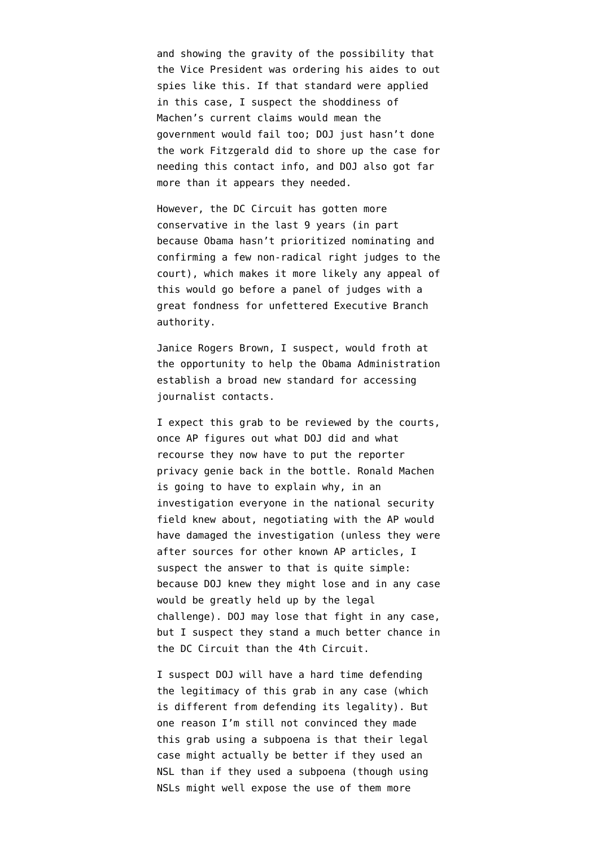and showing the gravity of the possibility that the Vice President was ordering his aides to out spies like this. If that standard were applied in this case, I suspect the shoddiness of Machen's current claims would mean the government would fail too; DOJ just hasn't done the work Fitzgerald did to shore up the case for needing this contact info, and DOJ also got far more than it appears they needed.

However, the DC Circuit has gotten more conservative in the last 9 years (in part because Obama hasn't prioritized nominating and confirming a few non-radical right judges to the court), which makes it more likely any appeal of this would go before a panel of judges with a great fondness for unfettered Executive Branch authority.

Janice Rogers Brown, I suspect, would froth at the opportunity to help the Obama Administration establish a broad new standard for accessing journalist contacts.

I expect this grab to be reviewed by the courts, once AP figures out what DOJ did and what recourse they now have to put the reporter privacy genie back in the bottle. Ronald Machen is going to have to explain why, in an investigation everyone in the national security field knew about, negotiating with the AP would have damaged the investigation (unless [they were](http://www.emptywheel.net/2013/05/13/a-full-two-month-period-that-covers-john-brennans-entire-drone-propaganda-campaign/) [after sources for other known AP articles,](http://www.emptywheel.net/2013/05/13/a-full-two-month-period-that-covers-john-brennans-entire-drone-propaganda-campaign/) I suspect the answer to that is quite simple: because DOJ knew they might lose and in any case would be greatly held up by the legal challenge). DOJ may lose that fight in any case, but I suspect they stand a much better chance in the DC Circuit than the 4th Circuit.

I suspect DOJ will have a hard time defending the legitimacy of this grab in any case (which is different from defending its legality). But one reason I'm still not convinced they made this grab using a subpoena is that their legal case might actually be better if they used an NSL than if they used a subpoena (though using NSLs might well expose the use of them more